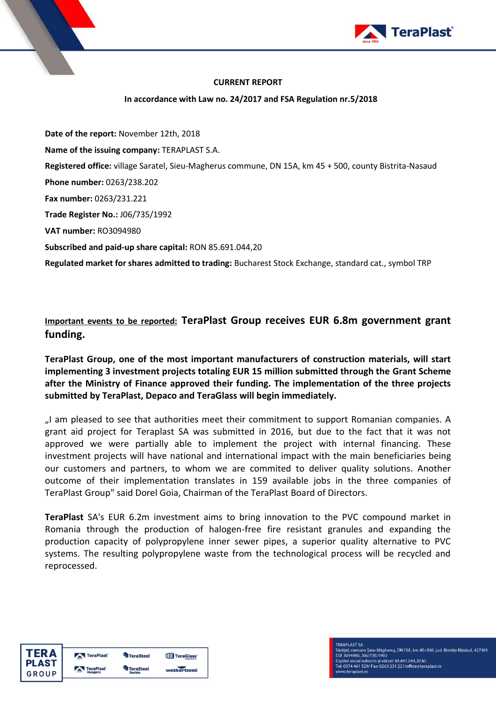

## **CURRENT REPORT**

## **In accordance with Law no. 24/2017 and FSA Regulation nr.5/2018**

**Date of the report:** November 12th, 2018 **Name of the issuing company:** TERAPLAST S.A. **Registered office:** village Saratel, Sieu-Magherus commune, DN 15A, km 45 + 500, county Bistrita-Nasaud **Phone number:** 0263/238.202 **Fax number:** 0263/231.221 **Trade Register No.:** J06/735/1992 **VAT number:** RO3094980 **Subscribed and paid-up share capital:** RON 85.691.044,20 **Regulated market for shares admitted to trading:** Bucharest Stock Exchange, standard cat., symbol TRP

**Important events to be reported: TeraPlast Group receives EUR 6.8m government grant funding.**

**TeraPlast Group, one of the most important manufacturers of construction materials, will start implementing 3 investment projects totaling EUR 15 million submitted through the Grant Scheme after the Ministry of Finance approved their funding. The implementation of the three projects submitted by TeraPlast, Depaco and TeraGlass will begin immediately.**

"I am pleased to see that authorities meet their commitment to support Romanian companies. A grant aid project for Teraplast SA was submitted in 2016, but due to the fact that it was not approved we were partially able to implement the project with internal financing. These investment projects will have national and international impact with the main beneficiaries being our customers and partners, to whom we are commited to deliver quality solutions. Another outcome of their implementation translates in 159 available jobs in the three companies of TeraPlast Group" said Dorel Goia, Chairman of the TeraPlast Board of Directors.

**TeraPlast** SA's EUR 6.2m investment aims to bring innovation to the PVC compound market in Romania through the production of halogen-free fire resistant granules and expanding the production capacity of polypropylene inner sewer pipes, a superior quality alternative to PVC systems. The resulting polypropylene waste from the technological process will be recycled and reprocessed.

| <b>TERA</b>  | TeraPlast        | <b>TeraSteel</b> | <b>TIP</b> TeraGlass' |
|--------------|------------------|------------------|-----------------------|
| <b>PLAST</b> | <b>TeraPlast</b> | <b>FeraSteel</b> |                       |
| GROUP        | Hungary          | <b>Serbia</b>    | wetterbest            |

**TERAPLAST SA** - Lurun<br>Sărățel, comuna Șieu-Măgheruș, DN15A, km 45+500, jud. Bistrița Năsăud, 427301<br>CUI 3094980, J06/735/1992 3894988, 388773971992<br>ital social subscris și vărsat: 85.691.044,20 lei<br>0374 461 529/ Fax: 0263 231 221/office@teraplast.ro v.teraplast.ro